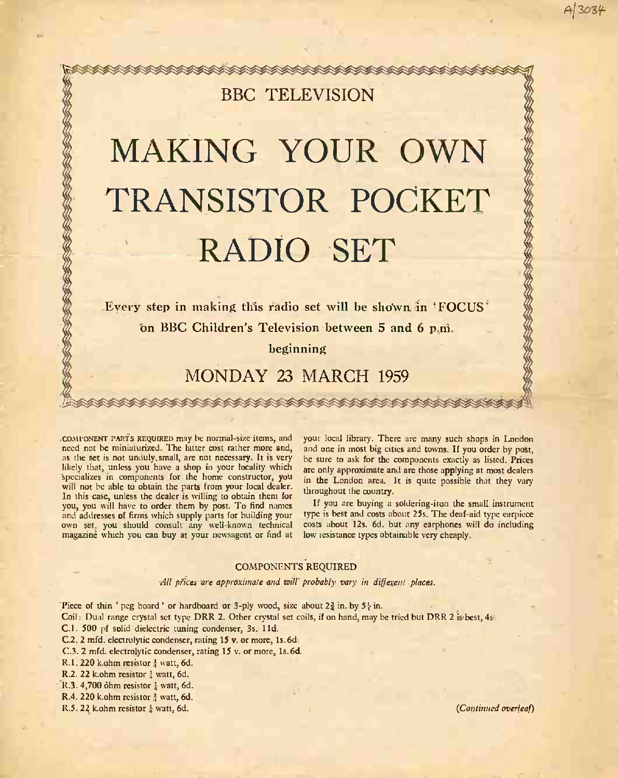# <u> 84444444444444444444444444444444</u> BBC TELEVISION

# MAKING YOUR OWN<br>TRANSISTOR POCKET<br>RADIO SET<br>Every step in making this radio set will be shown in 'FOCUS'<br>on BBC Children's Television between 5 and 6 p.m. TRANSISTOR POCKET RADIO SET

Every step in making this radio set will be shown in 'FOCUS' on BBC Children's Television between 5 and 6 p.m.

beginning

## MONDAY 23 MARCH 1959

COMPONENT PARTS REQUIRED may be normal-size items, and need not be miniaturized. The latter cost rather more and, as the set is not unduly, small, are not necessary. It is very likely that, unless you have a shop in your locality which are only<br>specializes in components for the home constructor, you in the I will not be able to obtain the parts from your local dealer. In this case, unless the dealer is willing to obtain them for you, you will have to order them by post. To find names and addresses of firms which supply parts for building your UPS<br>own set, you should consult any well-known technical cost<br>magazine which you can buy at your newsagent or find at low

your local library. There are many such shops in London and one in most big cities and towns. If you order by post, he sure to ask for the components exactly as listed. Prices are only approximate and are those applying at most dealers in the London area. It is quite possible that they vary throughout the country.

If you are buying a soldering-iron the small instrument type is best and costs about 25s. The deaf-aid type earpiece costs about 12s. 6d. but any earphones will do including low resistance types obtainable very cheaply.

### COMPONENTS REQUIRED

All prices are approximate and will probably vary in different places.

Piece of thin 'peg board' or hardboard or 3-ply wood, size about  $2\frac{3}{4}$  in. by  $5\frac{1}{4}$  in.

Coil: Dual range crystal set type DRR 2. Other crystal set coils, if on hand, may be tried but DRR 2 is best, 4s.

C.1. 500 pf solid dielectric tuning condenser, 3s. I Id.

- C.2. 2 mfd. electrolytic condenser, rating 15 v. or more, Is. 6d.
- C.3. 2 mfd. electrolytic condenser, rating 15 v. or more, ls.6d.

R.1. 220 k.ohm resistor  $\frac{1}{4}$  watt, 6d.

R.2. 22 k.ohm resistor  $\frac{1}{4}$  watt, 6d.

TO THE THE THE TABLE TO THE TABLE TO THE TABLE TO THE TABLE TO THE TABLE

- $R.3.4,700$  ohm resistor  $\frac{1}{2}$  watt, 6d.
- R.4. 220 k.ohm resistor  $\frac{1}{4}$  watt, 6d.

R.5. 22 k.ohm resistor  $\frac{1}{4}$  watt, 6d. (Continued overleaf)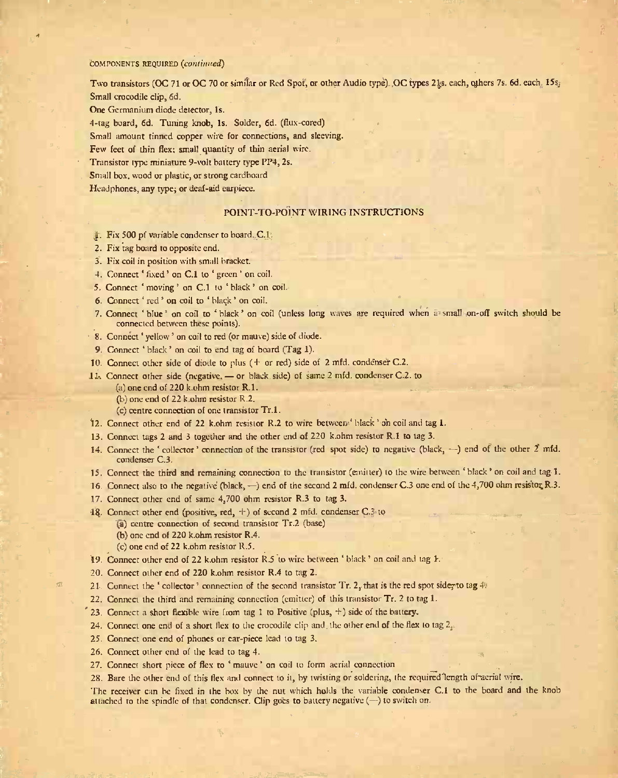### COMPONENTS REQUIRED (continued)

Two transistors (OC 71 or OC 70 or similar or Red Spot, or other Audio type). OC types 21s. each, others 7s. 6d. each. 15s. Small crocodile clip, 6d.

One Germanium diode detector, Is.

4 -tag board, 6d. Tuning knob, Is. Solder, 6d. (flux -cored)

Small amount tinned copper wire for connections, and sleeving.

Few feet of thin flex; small quantity of thin aerial wire.

Transistor type miniature 9 -volt battery type PP4, 2s.

Small box, wood or plastic, or strong cardboard

Headphones, any type; or deaf-aid earpiece.

### POINT -TO -POINT WIRING INSTRUCTIONS

- 1. Fix 500 pf variable condenser to board. C.1.
- 2. Fix tag board to opposite end.
- 3. Fix coil in position with small bracket.
- 4. Connect 'fixed' on C.1 to 'green' on coil.
- 5. Connect 'moving' on C.1 to 'black' on coil.
- 6. Connect ' red' on coil to ' black' on coil.
- 7. Connect 'blue' on coil to 'black' on coil (unless long waves are required when a small on-off switch should be connected between these points).
- 8. Connect 'yellow' on coil to red (or mauve) side of diode.
- 9. Connect 'black' on coil to end tag of board (Tag 1).
- 10. Connect other side of diode to plus ( + or red) side of 2 mfd. condenser C.2.
- 11. Connect other side (negative, or black side) of same 2 mfd. condenser C.2. to
	- (a) one end of 220 k.ohm resistor R.I.
	- (b) one end of 22 k.ohm resistor R.2.
	- (c) centre connection of one transistor Tr.l.
- 12. Connect other end of 22 k.ohm resistor R.2 to wire between black' on coil and tag I.
- 13. Connect tags 2 and 3 together and the other end of 220 k.ohm resistor R.1 to tag 3.
- 14. Connect the ' collector' connection of the transistor (red spot side) to negative (black,  $-$ ) end of the other 2 mfd. condenser C.3.
- 15. Connect the third and remaining connection to the transistor (emitter) to the wire between black' on coil and tag 1.
- 16. Connect also to the negative (black, --) end of the second 2 mfd. condenser C.3 one end of the 4,700 ohm resistor R.3.
- 17. Connect other end of same 4,700 ohm resistor R.3 to tag 3.
- 18. Connect other end (positive, red, +) of second 2 mfd. condenser C.3 to
	- (a) centre connection of second transistor Tr.2 (base)
	- (b) one end of 220 k.ohm resistor R.4.
	- (c) one end of 22 k.ohm resistor R.5.
- 19. Connect other end of 22 k.ohm resistor  $R.5$  to wire between 'black' on coil and tag  $1$ .
- 20. Connect other end of 220 k.ohm resistor R.4 to tag 2.
- 21. Connect the 'collector' connection of the second transistor Tr. 2, that is the red spot side, to tag  $4$ .
- 22. Connect the third and remaining connection (emitter) of this transistor Tr. 2 to tag 1.
- 23. Connect a short flexible wire from tag 1 to Positive (plus,  $+$ ) side of the battery.
- 24. Connect one end of a short flex to the crocodile clip and the other end of the flex to tag  $2<sub>z</sub>$ .
- 25. Connect one end of phones or ear -piece lead to tag 3.
- 26. Connect other end of the lead to tag 4.
- 27. Connect short piece of flex to 'mauve' on coil to form aerial connection
- 28. Bare the other end of this flex and connect to it, by twisting or soldering, the required length of aerial wire.

The receiver can be fixed in the box by the nut which holds the variable condenser C.1 to the board and the knob attached to the spindle of that condenser. Clip goes to battery negative  $(-)$  to switch on.